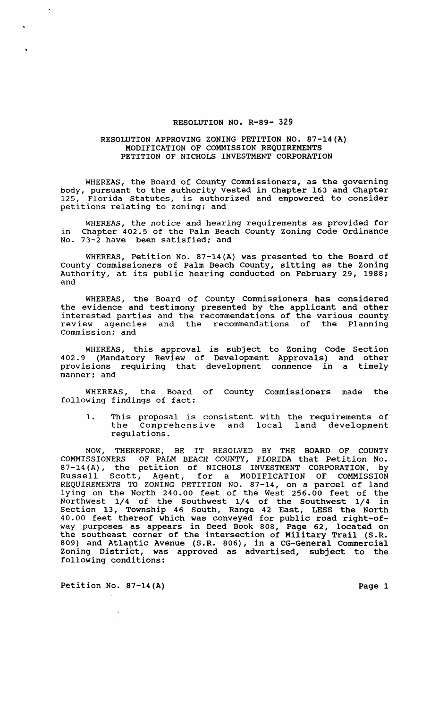## RESOLUTION NO. R-89- 329

## RESOLUTION APPROVING ZONING PETITION NO. 87-14(A) MODIFICATION OF COMMISSION REQUIREMENTS PETITION OF NICHOLS INVESTMENT CORPORATION

WHEREAS, the Board of County Commissioners, as the governing body, pursuant to the authority vested in Chapter 163 and Chapter 125, Florida Statutes, is authorized and empowered to consider Florida Statutes, is authorized and empowered to consider petitions relating to zoning; and

WHEREAS, the notice and hearing requirements as provided for in Chapter 402.5 of the Palm Beach County zoning Code Ordinance in Chapter 402.5 of the Palm Beac<br>No. 73-2 have been satisfied; and

WHEREAS, Petition No. 87-14(A) was presented to the Board of County Commissioners of Palm Beach County, sitting as the Zoning Authority, at its public hearing conducted on February 29, 1988; and

WHEREAS, the Board of County Commissioners has considered the evidence and testimony presented by the applicant and other interested parties and the recommendations of the various county review agencies and the recommendations of the Planning Commission; and

WHEREAS, this approval is subject to Zoning Code Section 402.9 (Mandatory Review of Development Approvals) and other provisions requiring that development commence in a timely manner; and

WHEREAS, the Board of County Commissioners made the following findings of fact:

1. This proposal is consistent with the requirements of<br>the Comprehensive and local land development Comprehensive and local land development regulations.

NOW, THEREFORE, BE IT RESOLVED BY THE BOARD OF COUNTY COMMISSIONERS OF PALM BEACH COUNTY, FLORIDA that Petition No. 87-14(A), the petition of NICHOLS INVESTMENT CORPORATION, by Russell Scott, Agent, for a MODIFICATION OF COMMISSION REQUIREMENTS TO ZONING PETITION NO. 87-14, on a parcel of land lying on the North 240.00 feet of the West 256.00 feet of the Northwest 1/4 of the Southwest 1/4 of the Southwest 1/4 in section 13, Township 46 South, Range 42 East, LESS the North 40.00 feet thereof which was conveyed for public road right-ofway purposes as appears in Deed Book 808, Page 62, located on the southeast corner of the intersection of Military Trail (S.R. 809) and Atlartic Avenue (S.R. 806), in a CG-General Commercial Zoning District, was approved as advertised, subject to the following conditions:

Petition No. 87-14(A) Page 1

 $\sqrt{2}$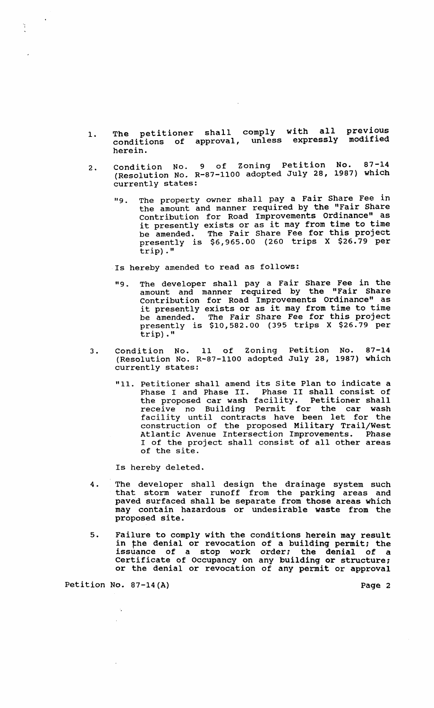- 1. The petitioner shall comply with all previous conditions of approval, unless expressly modified herein.
- 2. Condition No. 9 of Zoning Petition No. 87-14 (Resolution No. R-87-1100 adopted July 28, 1987) which currently states:
	- "9. The property owner shall pay a Fair Share Fee in the amount and manner required by the "Fair Share contribution for Road Improvements Ordinance" as it presently exists or as it may from time to time be amended. The Fair Share Fee for this project presently is \$6,965.00 (260 trips X \$26.79 per trip) ."

Is hereby amended to read as follows:

- "9. The developer shall pay a Fair Share Fee in the amount and manner required by the "Fair Share contribution for Road Improvements Ordinance" as it presently exists or as it may from time to time be amended. The Fair Share Fee for this project presently is \$10,582.00 (395 trips X \$26.79 per trip) ."
- 3. Condition No. 11 of Zoning Petition No. 87-14 (Resolution No. R-87-1100 adopted July 28, 1987) which currently states:
	- "11. Petitioner shall amend its site Plan to indicate a Phase I and Phase II. Phase II shall consist of the proposed car wash facility. Petitioner shall receive no Building Permit for the car wash facility until contracts have been let for the construction of the proposed Military Trail/West Atlantic Avenue Intersection Improvements. Phase I of the project shall consist of all other areas of the site.

Is hereby deleted.

- 4. The developer shall design the drainage system such that storm water runoff from the parking areas and paved surfaced shall be separate from those areas which may contain hazardous or undesirable waste from the proposed site.
- 5. Failure to comply with the conditions herein may result in the denial or revocation of a building permit; the issuance of a stop work order; the denial of a Certificate of Occupancy on any building or structure: or the denial or revocation of any permit or approval

Petition No. 87-14(A) Page 2

 $\mathcal{A}_\bullet$ 

Y.